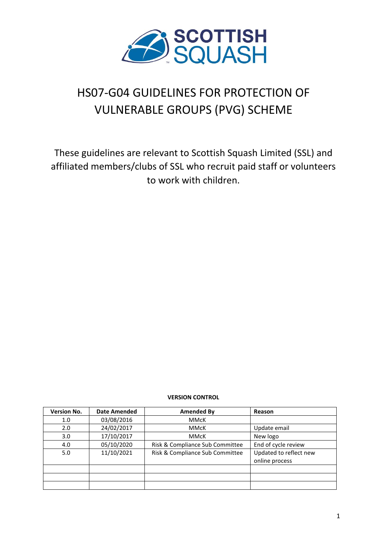

# HS07-G04 GUIDELINES FOR PROTECTION OF VULNERABLE GROUPS (PVG) SCHEME

These guidelines are relevant to Scottish Squash Limited (SSL) and affiliated members/clubs of SSL who recruit paid staff or volunteers to work with children.

#### **VERSION CONTROL**

| <b>Version No.</b> | <b>Date Amended</b> | Amended By                      | Reason                 |
|--------------------|---------------------|---------------------------------|------------------------|
| 1.0                | 03/08/2016          | <b>MMcK</b>                     |                        |
| 2.0                | 24/02/2017          | <b>MMcK</b>                     | Update email           |
| 3.0 <sub>2</sub>   | 17/10/2017          | <b>MMcK</b>                     | New logo               |
| 4.0                | 05/10/2020          | Risk & Compliance Sub Committee | End of cycle review    |
| 5.0                | 11/10/2021          | Risk & Compliance Sub Committee | Updated to reflect new |
|                    |                     |                                 | online process         |
|                    |                     |                                 |                        |
|                    |                     |                                 |                        |
|                    |                     |                                 |                        |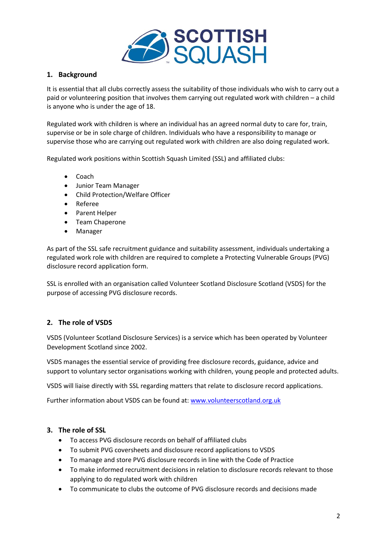

## **1. Background**

It is essential that all clubs correctly assess the suitability of those individuals who wish to carry out a paid or volunteering position that involves them carrying out regulated work with children – a child is anyone who is under the age of 18.

Regulated work with children is where an individual has an agreed normal duty to care for, train, supervise or be in sole charge of children. Individuals who have a responsibility to manage or supervise those who are carrying out regulated work with children are also doing regulated work.

Regulated work positions within Scottish Squash Limited (SSL) and affiliated clubs:

- Coach
- Junior Team Manager
- Child Protection/Welfare Officer
- Referee
- Parent Helper
- Team Chaperone
- Manager

As part of the SSL safe recruitment guidance and suitability assessment, individuals undertaking a regulated work role with children are required to complete a Protecting Vulnerable Groups (PVG) disclosure record application form.

SSL is enrolled with an organisation called Volunteer Scotland Disclosure Scotland (VSDS) for the purpose of accessing PVG disclosure records.

# **2. The role of VSDS**

VSDS (Volunteer Scotland Disclosure Services) is a service which has been operated by Volunteer Development Scotland since 2002.

VSDS manages the essential service of providing free disclosure records, guidance, advice and support to voluntary sector organisations working with children, young people and protected adults.

VSDS will liaise directly with SSL regarding matters that relate to disclosure record applications.

Further information about VSDS can be found at: [www.volunteerscotland.org.uk](http://www.volunteerscotland.org.uk/)

## **3. The role of SSL**

- To access PVG disclosure records on behalf of affiliated clubs
- To submit PVG coversheets and disclosure record applications to VSDS
- To manage and store PVG disclosure records in line with the Code of Practice
- To make informed recruitment decisions in relation to disclosure records relevant to those applying to do regulated work with children
- To communicate to clubs the outcome of PVG disclosure records and decisions made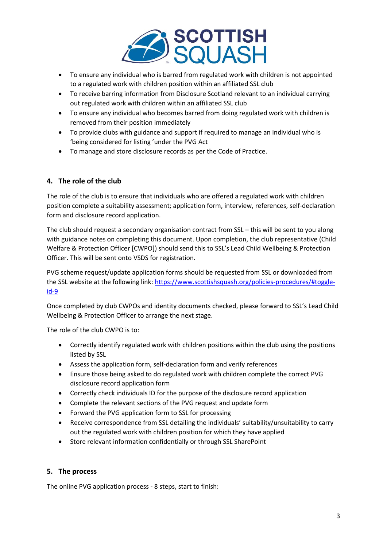

- To ensure any individual who is barred from regulated work with children is not appointed to a regulated work with children position within an affiliated SSL club
- To receive barring information from Disclosure Scotland relevant to an individual carrying out regulated work with children within an affiliated SSL club
- To ensure any individual who becomes barred from doing regulated work with children is removed from their position immediately
- To provide clubs with guidance and support if required to manage an individual who is 'being considered for listing 'under the PVG Act
- To manage and store disclosure records as per the Code of Practice.

# **4. The role of the club**

The role of the club is to ensure that individuals who are offered a regulated work with children position complete a suitability assessment; application form, interview, references, self-declaration form and disclosure record application.

The club should request a secondary organisation contract from SSL – this will be sent to you along with guidance notes on completing this document. Upon completion, the club representative (Child Welfare & Protection Officer [CWPO]) should send this to SSL's Lead Child Wellbeing & Protection Officer. This will be sent onto VSDS for registration.

PVG scheme request/update application forms should be requested from SSL or downloaded from the SSL website at the following link: [https://www.scottishsquash.org/policies-procedures/#toggle](https://www.scottishsquash.org/policies-procedures/#toggle-id-9)[id-9](https://www.scottishsquash.org/policies-procedures/#toggle-id-9)

Once completed by club CWPOs and identity documents checked, please forward to SSL's Lead Child Wellbeing & Protection Officer to arrange the next stage.

The role of the club CWPO is to:

- Correctly identify regulated work with children positions within the club using the positions listed by SSL
- Assess the application form, self-declaration form and verify references
- Ensure those being asked to do regulated work with children complete the correct PVG disclosure record application form
- Correctly check individuals ID for the purpose of the disclosure record application
- Complete the relevant sections of the PVG request and update form
- Forward the PVG application form to SSL for processing
- Receive correspondence from SSL detailing the individuals' suitability/unsuitability to carry out the regulated work with children position for which they have applied
- Store relevant information confidentially or through SSL SharePoint

# **5. The process**

The online PVG application process - 8 steps, start to finish: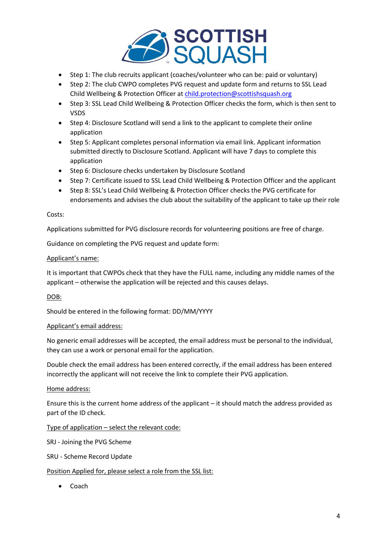

- Step 1: The club recruits applicant (coaches/volunteer who can be: paid or voluntary)
- Step 2: The club CWPO completes PVG request and update form and returns to SSL Lead Child Wellbeing & Protection Officer a[t child.protection@scottishsquash.org](mailto:child.protection@scottishsquash.org)
- Step 3: SSL Lead Child Wellbeing & Protection Officer checks the form, which is then sent to VSDS
- Step 4: Disclosure Scotland will send a link to the applicant to complete their online application
- Step 5: Applicant completes personal information via email link. Applicant information submitted directly to Disclosure Scotland. Applicant will have 7 days to complete this application
- Step 6: Disclosure checks undertaken by Disclosure Scotland
- Step 7: Certificate issued to SSL Lead Child Wellbeing & Protection Officer and the applicant
- Step 8: SSL's Lead Child Wellbeing & Protection Officer checks the PVG certificate for endorsements and advises the club about the suitability of the applicant to take up their role

#### Costs:

Applications submitted for PVG disclosure records for volunteering positions are free of charge.

Guidance on completing the PVG request and update form:

#### Applicant's name:

It is important that CWPOs check that they have the FULL name, including any middle names of the applicant – otherwise the application will be rejected and this causes delays.

## DOB:

Should be entered in the following format: DD/MM/YYYY

#### Applicant's email address:

No generic email addresses will be accepted, the email address must be personal to the individual, they can use a work or personal email for the application.

Double check the email address has been entered correctly, if the email address has been entered incorrectly the applicant will not receive the link to complete their PVG application.

#### Home address:

Ensure this is the current home address of the applicant – it should match the address provided as part of the ID check.

Type of application – select the relevant code:

SRJ - Joining the PVG Scheme

SRU - Scheme Record Update

## Position Applied for, please select a role from the SSL list:

• Coach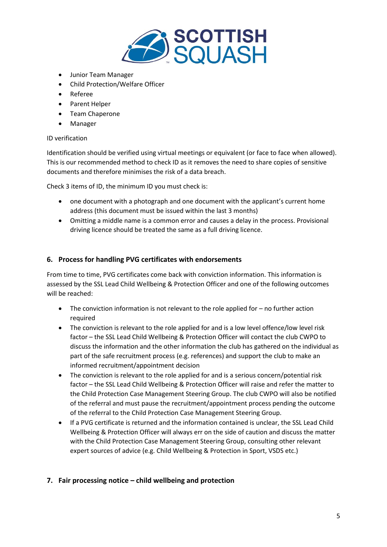

- Junior Team Manager
- Child Protection/Welfare Officer
- Referee
- Parent Helper
- Team Chaperone
- Manager

## ID verification

Identification should be verified using virtual meetings or equivalent (or face to face when allowed). This is our recommended method to check ID as it removes the need to share copies of sensitive documents and therefore minimises the risk of a data breach.

Check 3 items of ID, the minimum ID you must check is:

- one document with a photograph and one document with the applicant's current home address (this document must be issued within the last 3 months)
- Omitting a middle name is a common error and causes a delay in the process. Provisional driving licence should be treated the same as a full driving licence.

## **6. Process for handling PVG certificates with endorsements**

From time to time, PVG certificates come back with conviction information. This information is assessed by the SSL Lead Child Wellbeing & Protection Officer and one of the following outcomes will be reached:

- The conviction information is not relevant to the role applied for no further action required
- The conviction is relevant to the role applied for and is a low level offence/low level risk factor – the SSL Lead Child Wellbeing & Protection Officer will contact the club CWPO to discuss the information and the other information the club has gathered on the individual as part of the safe recruitment process (e.g. references) and support the club to make an informed recruitment/appointment decision
- The conviction is relevant to the role applied for and is a serious concern/potential risk factor – the SSL Lead Child Wellbeing & Protection Officer will raise and refer the matter to the Child Protection Case Management Steering Group. The club CWPO will also be notified of the referral and must pause the recruitment/appointment process pending the outcome of the referral to the Child Protection Case Management Steering Group.
- If a PVG certificate is returned and the information contained is unclear, the SSL Lead Child Wellbeing & Protection Officer will always err on the side of caution and discuss the matter with the Child Protection Case Management Steering Group, consulting other relevant expert sources of advice (e.g. Child Wellbeing & Protection in Sport, VSDS etc.)

# **7. Fair processing notice – child wellbeing and protection**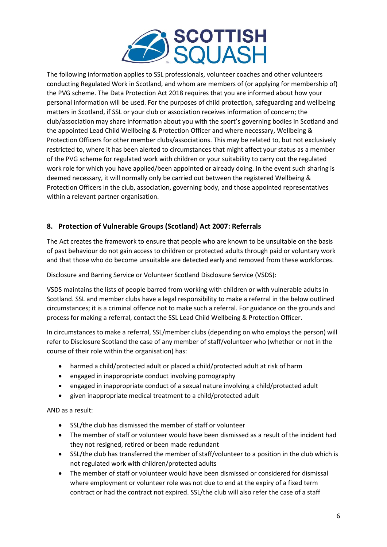

The following information applies to SSL professionals, volunteer coaches and other volunteers conducting Regulated Work in Scotland, and whom are members of (or applying for membership of) the PVG scheme. The Data Protection Act 2018 requires that you are informed about how your personal information will be used. For the purposes of child protection, safeguarding and wellbeing matters in Scotland, if SSL or your club or association receives information of concern; the club/association may share information about you with the sport's governing bodies in Scotland and the appointed Lead Child Wellbeing & Protection Officer and where necessary, Wellbeing & Protection Officers for other member clubs/associations. This may be related to, but not exclusively restricted to, where it has been alerted to circumstances that might affect your status as a member of the PVG scheme for regulated work with children or your suitability to carry out the regulated work role for which you have applied/been appointed or already doing. In the event such sharing is deemed necessary, it will normally only be carried out between the registered Wellbeing & Protection Officers in the club, association, governing body, and those appointed representatives within a relevant partner organisation.

# **8. Protection of Vulnerable Groups (Scotland) Act 2007: Referrals**

The Act creates the framework to ensure that people who are known to be unsuitable on the basis of past behaviour do not gain access to children or protected adults through paid or voluntary work and that those who do become unsuitable are detected early and removed from these workforces.

Disclosure and Barring Service or Volunteer Scotland Disclosure Service (VSDS):

VSDS maintains the lists of people barred from working with children or with vulnerable adults in Scotland. SSL and member clubs have a legal responsibility to make a referral in the below outlined circumstances; it is a criminal offence not to make such a referral. For guidance on the grounds and process for making a referral, contact the SSL Lead Child Wellbeing & Protection Officer.

In circumstances to make a referral, SSL/member clubs (depending on who employs the person) will refer to Disclosure Scotland the case of any member of staff/volunteer who (whether or not in the course of their role within the organisation) has:

- harmed a child/protected adult or placed a child/protected adult at risk of harm
- engaged in inappropriate conduct involving pornography
- engaged in inappropriate conduct of a sexual nature involving a child/protected adult
- given inappropriate medical treatment to a child/protected adult

AND as a result:

- SSL/the club has dismissed the member of staff or volunteer
- The member of staff or volunteer would have been dismissed as a result of the incident had they not resigned, retired or been made redundant
- SSL/the club has transferred the member of staff/volunteer to a position in the club which is not regulated work with children/protected adults
- The member of staff or volunteer would have been dismissed or considered for dismissal where employment or volunteer role was not due to end at the expiry of a fixed term contract or had the contract not expired. SSL/the club will also refer the case of a staff